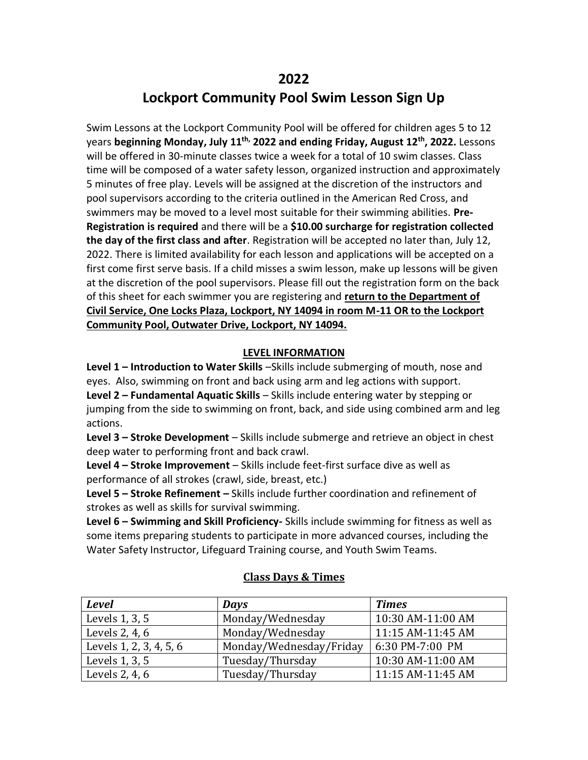## **2022**

# **Lockport Community Pool Swim Lesson Sign Up**

Swim Lessons at the Lockport Community Pool will be offered for children ages 5 to 12 years **beginning Monday, July 11th, 2022 and ending Friday, August 12th , 2022.** Lessons will be offered in 30-minute classes twice a week for a total of 10 swim classes. Class time will be composed of a water safety lesson, organized instruction and approximately 5 minutes of free play. Levels will be assigned at the discretion of the instructors and pool supervisors according to the criteria outlined in the American Red Cross, and swimmers may be moved to a level most suitable for their swimming abilities. **Pre-Registration is required** and there will be a **\$10.00 surcharge for registration collected the day of the first class and after**. Registration will be accepted no later than, July 12, 2022. There is limited availability for each lesson and applications will be accepted on a first come first serve basis. If a child misses a swim lesson, make up lessons will be given at the discretion of the pool supervisors. Please fill out the registration form on the back of this sheet for each swimmer you are registering and **return to the Department of Civil Service, One Locks Plaza, Lockport, NY 14094 in room M-11 OR to the Lockport Community Pool, Outwater Drive, Lockport, NY 14094.**

#### **LEVEL INFORMATION**

**Level 1 – Introduction to Water Skills** –Skills include submerging of mouth, nose and eyes. Also, swimming on front and back using arm and leg actions with support. **Level 2 – Fundamental Aquatic Skills** – Skills include entering water by stepping or jumping from the side to swimming on front, back, and side using combined arm and leg actions.

**Level 3 – Stroke Development** – Skills include submerge and retrieve an object in chest deep water to performing front and back crawl.

**Level 4 – Stroke Improvement** – Skills include feet-first surface dive as well as performance of all strokes (crawl, side, breast, etc.)

**Level 5 – Stroke Refinement –** Skills include further coordination and refinement of strokes as well as skills for survival swimming.

**Level 6 – Swimming and Skill Proficiency-** Skills include swimming for fitness as well as some items preparing students to participate in more advanced courses, including the Water Safety Instructor, Lifeguard Training course, and Youth Swim Teams.

| <b>Level</b>            | Days                    | <b>Times</b>      |
|-------------------------|-------------------------|-------------------|
| Levels 1, 3, 5          | Monday/Wednesday        | 10:30 AM-11:00 AM |
| Levels 2, 4, 6          | Monday/Wednesday        | 11:15 AM-11:45 AM |
| Levels 1, 2, 3, 4, 5, 6 | Monday/Wednesday/Friday | 6:30 PM-7:00 PM   |
| Levels 1, 3, 5          | Tuesday/Thursday        | 10:30 AM-11:00 AM |
| Levels 2, 4, 6          | Tuesday/Thursday        | 11:15 AM-11:45 AM |

#### **Class Days & Times**